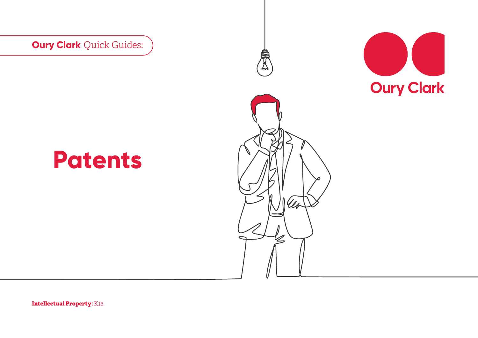**Oury Clark** Quick Guides:



# **Patents**



**Intellectual Property:** K16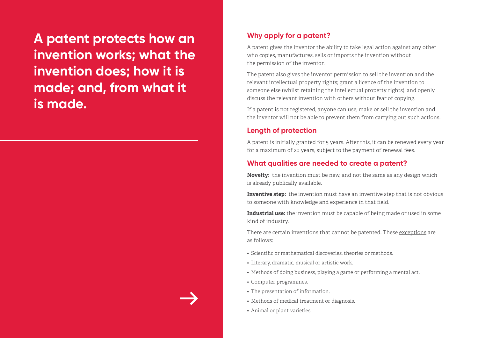**A patent protects how an invention works; what the invention does; how it is made; and, from what it is made.**

#### **Why apply for a patent?**

A patent gives the inventor the ability to take legal action against any other who copies, manufactures, sells or imports the invention without the permission of the inventor.

The patent also gives the inventor permission to sell the invention and the relevant intellectual property rights; grant a licence of the invention to someone else (whilst retaining the intellectual property rights); and openly discuss the relevant invention with others without fear of copying.

If a patent is not registered, anyone can use, make or sell the invention and the inventor will not be able to prevent them from carrying out such actions.

#### **Length of protection**

A patent is initially granted for 5 years. After this, it can be renewed every year for a maximum of 20 years, subject to the payment of renewal fees.

#### **What qualities are needed to create a patent?**

**Novelty:** the invention must be new, and not the same as any design which is already publically available.

**Inventive step:** the invention must have an inventive step that is not obvious to someone with knowledge and experience in that field.

**Industrial use:** the invention must be capable of being made or used in some kind of industry.

There are certain inventions that cannot be patented. These exceptions are as follows:

- Scientific or mathematical discoveries, theories or methods.
- Literary, dramatic, musical or artistic work.
- Methods of doing business, playing a game or performing a mental act.
- Computer programmes.
- The presentation of information.
- Methods of medical treatment or diagnosis.
- Animal or plant varieties.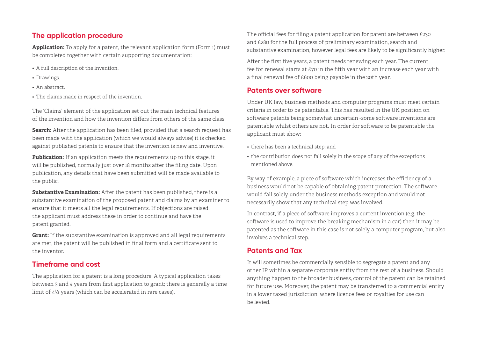#### **The application procedure**

**Application:** To apply for a patent, the relevant application form (Form 1) must be completed together with certain supporting documentation:

- A full description of the invention.
- Drawings.
- An abstract.
- The claims made in respect of the invention.

The 'Claims' element of the application set out the main technical features of the invention and how the invention differs from others of the same class.

**Search:** After the application has been filed, provided that a search request has been made with the application (which we would always advise) it is checked against published patents to ensure that the invention is new and inventive.

**Publication:** If an application meets the requirements up to this stage, it will be published, normally just over 18 months after the filing date. Upon publication, any details that have been submitted will be made available to the public.

**Substantive Examination:** After the patent has been published, there is a substantive examination of the proposed patent and claims by an examiner to ensure that it meets all the legal requirements. If objections are raised, the applicant must address these in order to continue and have the patent granted.

**Grant:** If the substantive examination is approved and all legal requirements are met, the patent will be published in final form and a certificate sent to the inventor.

#### **Timeframe and cost**

The application for a patent is a long procedure. A typical application takes between 3 and 4 years from first application to grant; there is generally a time limit of 4½ years (which can be accelerated in rare cases).

The official fees for filing a patent application for patent are between £230 and £280 for the full process of preliminary examination, search and substantive examination, however legal fees are likely to be significantly higher.

After the first five years, a patent needs renewing each year. The current fee for renewal starts at £70 in the fifth year with an increase each year with a final renewal fee of £600 being payable in the 20th year.

#### **Patents over software**

Under UK law, business methods and computer programs must meet certain criteria in order to be patentable. This has resulted in the UK position on software patents being somewhat uncertain -some software inventions are patentable whilst others are not. In order for software to be patentable the applicant must show:

- there has been a technical step; and
- the contribution does not fall solely in the scope of any of the exceptions mentioned above.

By way of example, a piece of software which increases the efficiency of a business would not be capable of obtaining patent protection. The software would fall solely under the business methods exception and would not necessarily show that any technical step was involved.

In contrast, if a piece of software improves a current invention (e.g. the software is used to improve the breaking mechanism in a car) then it may be patented as the software in this case is not solely a computer program, but also involves a technical step.

### **Patents and Tax**

It will sometimes be commercially sensible to segregate a patent and any other IP within a separate corporate entity from the rest of a business. Should anything happen to the broader business, control of the patent can be retained for future use. Moreover, the patent may be transferred to a commercial entity in a lower taxed jurisdiction, where licence fees or royalties for use can be levied.